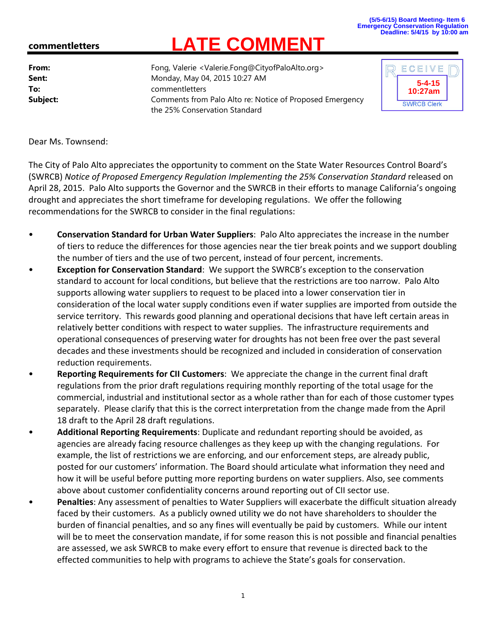## **(5/5-6/15) Board Meeting- Item 6 Emergency Conservation Regulation Deadline: 5/4/15 by 10:00 am**

## **commentletters**

From: From: Fong, Valerie <Valerie.Fong@CityofPaloAlto.org> **Sent:** Monday, May 04, 2015 10:27 AM **To:** commentletters **Subject:** Comments from Palo Alto re: Notice of Proposed Emergency Regulation Inc. In the SWRCB Clerk the 25% Conservation Standard

**LATE COMMENT**



Dear Ms. Townsend:

The City of Palo Alto appreciates the opportunity to comment on the State Water Resources Control Board's (SWRCB) *Notice of Proposed Emergency Regulation Implementing the 25% Conservation Standard* released on April 28, 2015. Palo Alto supports the Governor and the SWRCB in their efforts to manage California's ongoing drought and appreciates the short timeframe for developing regulations. We offer the following recommendations for the SWRCB to consider in the final regulations:

- **Conservation Standard for Urban Water Suppliers**: Palo Alto appreciates the increase in the number of tiers to reduce the differences for those agencies near the tier break points and we support doubling the number of tiers and the use of two percent, instead of four percent, increments.
- **Exception for Conservation Standard**: We support the SWRCB's exception to the conservation standard to account for local conditions, but believe that the restrictions are too narrow. Palo Alto supports allowing water suppliers to request to be placed into a lower conservation tier in consideration of the local water supply conditions even if water supplies are imported from outside the service territory. This rewards good planning and operational decisions that have left certain areas in relatively better conditions with respect to water supplies. The infrastructure requirements and operational consequences of preserving water for droughts has not been free over the past several decades and these investments should be recognized and included in consideration of conservation reduction requirements.
- **Reporting Requirements for CII Customers**: We appreciate the change in the current final draft regulations from the prior draft regulations requiring monthly reporting of the total usage for the commercial, industrial and institutional sector as a whole rather than for each of those customer types separately. Please clarify that this is the correct interpretation from the change made from the April 18 draft to the April 28 draft regulations.
- **Additional Reporting Requirements**: Duplicate and redundant reporting should be avoided, as agencies are already facing resource challenges as they keep up with the changing regulations. For example, the list of restrictions we are enforcing, and our enforcement steps, are already public, posted for our customers' information. The Board should articulate what information they need and how it will be useful before putting more reporting burdens on water suppliers. Also, see comments above about customer confidentiality concerns around reporting out of CII sector use.
- **Penalties**: Any assessment of penalties to Water Suppliers will exacerbate the difficult situation already faced by their customers. As a publicly owned utility we do not have shareholders to shoulder the burden of financial penalties, and so any fines will eventually be paid by customers. While our intent will be to meet the conservation mandate, if for some reason this is not possible and financial penalties are assessed, we ask SWRCB to make every effort to ensure that revenue is directed back to the effected communities to help with programs to achieve the State's goals for conservation.